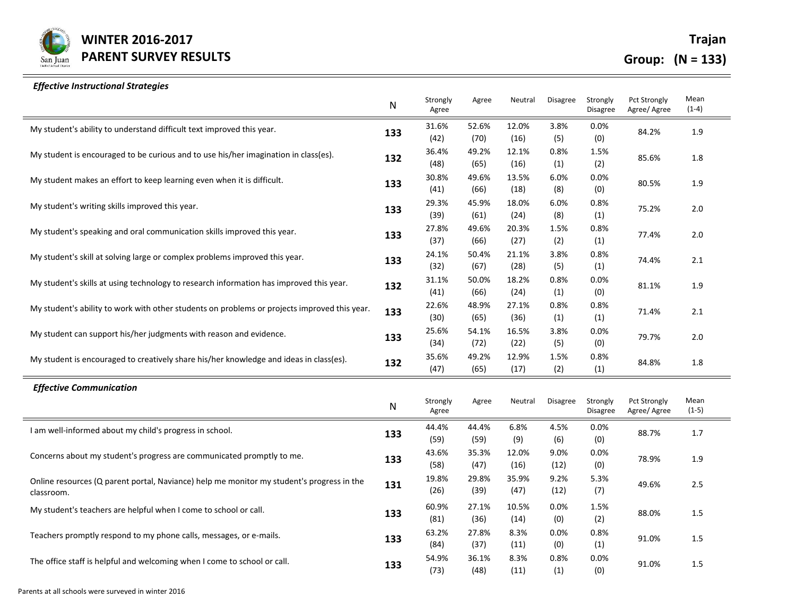

## *Effective Instructional Strategies*

|                                                                                                         | N   | Strongly<br>Agree | Agree         | Neutral       | Disagree        | Strongly<br><b>Disagree</b> | Pct Strongly<br>Agree/ Agree        | Mean<br>$(1-4)$ |
|---------------------------------------------------------------------------------------------------------|-----|-------------------|---------------|---------------|-----------------|-----------------------------|-------------------------------------|-----------------|
| My student's ability to understand difficult text improved this year.                                   | 133 | 31.6%<br>(42)     | 52.6%<br>(70) | 12.0%<br>(16) | 3.8%<br>(5)     | 0.0%<br>(0)                 | 84.2%                               | 1.9             |
| My student is encouraged to be curious and to use his/her imagination in class(es).                     | 132 | 36.4%<br>(48)     | 49.2%<br>(65) | 12.1%<br>(16) | 0.8%<br>(1)     | 1.5%<br>(2)                 | 85.6%                               | 1.8             |
| My student makes an effort to keep learning even when it is difficult.                                  | 133 | 30.8%<br>(41)     | 49.6%<br>(66) | 13.5%<br>(18) | 6.0%<br>(8)     | 0.0%<br>(0)                 | 80.5%                               | 1.9             |
| My student's writing skills improved this year.                                                         | 133 | 29.3%<br>(39)     | 45.9%<br>(61) | 18.0%<br>(24) | 6.0%<br>(8)     | 0.8%<br>(1)                 | 75.2%                               | $2.0$           |
| My student's speaking and oral communication skills improved this year.                                 | 133 | 27.8%<br>(37)     | 49.6%<br>(66) | 20.3%<br>(27) | 1.5%<br>(2)     | 0.8%<br>(1)                 | 77.4%                               | 2.0             |
| My student's skill at solving large or complex problems improved this year.                             | 133 | 24.1%<br>(32)     | 50.4%<br>(67) | 21.1%<br>(28) | 3.8%<br>(5)     | 0.8%<br>(1)                 | 74.4%                               | 2.1             |
| My student's skills at using technology to research information has improved this year.                 | 132 | 31.1%<br>(41)     | 50.0%<br>(66) | 18.2%<br>(24) | 0.8%<br>(1)     | 0.0%<br>(0)                 | 81.1%                               | 1.9             |
| My student's ability to work with other students on problems or projects improved this year.            | 133 | 22.6%<br>(30)     | 48.9%<br>(65) | 27.1%<br>(36) | 0.8%<br>(1)     | 0.8%<br>(1)                 | 71.4%                               | 2.1             |
| My student can support his/her judgments with reason and evidence.                                      | 133 | 25.6%<br>(34)     | 54.1%<br>(72) | 16.5%<br>(22) | 3.8%<br>(5)     | 0.0%<br>(0)                 | 79.7%                               | 2.0             |
| My student is encouraged to creatively share his/her knowledge and ideas in class(es).                  | 132 | 35.6%<br>(47)     | 49.2%<br>(65) | 12.9%<br>(17) | 1.5%<br>(2)     | 0.8%<br>(1)                 | 84.8%                               | 1.8             |
| <b>Effective Communication</b>                                                                          |     |                   |               |               |                 |                             |                                     |                 |
|                                                                                                         | N   | Strongly<br>Agree | Agree         | Neutral       | <b>Disagree</b> | Strongly<br><b>Disagree</b> | <b>Pct Strongly</b><br>Agree/ Agree | Mean<br>$(1-5)$ |
| I am well-informed about my child's progress in school.                                                 | 133 | 44.4%<br>(59)     | 44.4%<br>(59) | 6.8%<br>(9)   | 4.5%<br>(6)     | 0.0%<br>(0)                 | 88.7%                               | $1.7\,$         |
| Concerns about my student's progress are communicated promptly to me.                                   | 133 | 43.6%<br>(58)     | 35.3%<br>(47) | 12.0%<br>(16) | 9.0%<br>(12)    | 0.0%<br>(0)                 | 78.9%                               | 1.9             |
| Online resources (Q parent portal, Naviance) help me monitor my student's progress in the<br>classroom. | 131 | 19.8%<br>(26)     | 29.8%<br>(39) | 35.9%<br>(47) | 9.2%<br>(12)    | 5.3%<br>(7)                 | 49.6%                               | 2.5             |
| My student's teachers are helpful when I come to school or call.                                        | 133 | 60.9%<br>(81)     | 27.1%<br>(36) | 10.5%<br>(14) | 0.0%<br>(0)     | 1.5%<br>(2)                 | 88.0%                               | 1.5             |
| Teachers promptly respond to my phone calls, messages, or e-mails.                                      | 133 | 63.2%<br>(84)     | 27.8%<br>(37) | 8.3%<br>(11)  | 0.0%<br>(0)     | 0.8%<br>(1)                 | 91.0%                               | 1.5             |
| The office staff is helpful and welcoming when I come to school or call.                                | 133 | 54.9%<br>(73)     | 36.1%<br>(48) | 8.3%<br>(11)  | 0.8%<br>(1)     | 0.0%<br>(0)                 | 91.0%                               | 1.5             |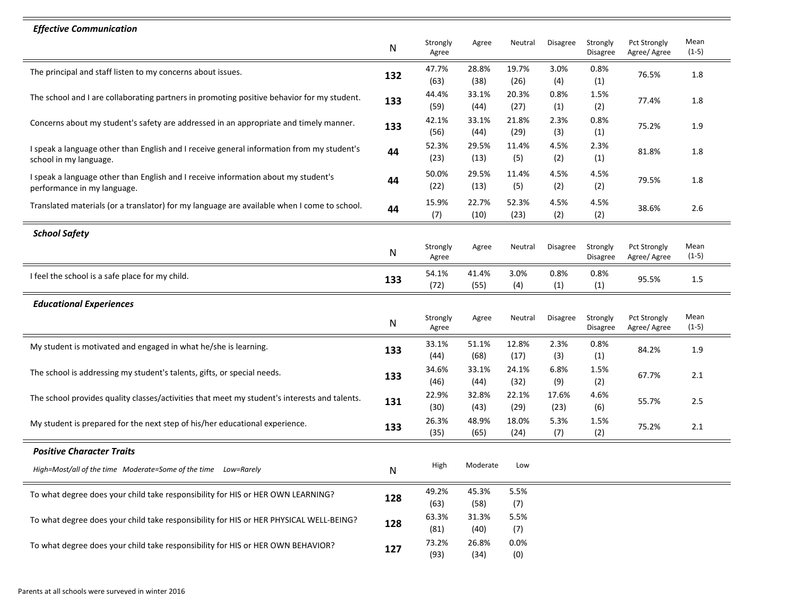| <b>Effective Communication</b>                                                                                      |           |                   |               |               |               |                      |                                     |                 |
|---------------------------------------------------------------------------------------------------------------------|-----------|-------------------|---------------|---------------|---------------|----------------------|-------------------------------------|-----------------|
|                                                                                                                     | ${\sf N}$ | Strongly<br>Agree | Agree         | Neutral       | Disagree      | Strongly<br>Disagree | Pct Strongly<br>Agree/ Agree        | Mean<br>$(1-5)$ |
| The principal and staff listen to my concerns about issues.                                                         | 132       | 47.7%<br>(63)     | 28.8%<br>(38) | 19.7%<br>(26) | 3.0%<br>(4)   | 0.8%<br>(1)          | 76.5%                               | 1.8             |
| The school and I are collaborating partners in promoting positive behavior for my student.                          | 133       | 44.4%<br>(59)     | 33.1%<br>(44) | 20.3%<br>(27) | 0.8%<br>(1)   | 1.5%<br>(2)          | 77.4%                               | 1.8             |
| Concerns about my student's safety are addressed in an appropriate and timely manner.                               | 133       | 42.1%<br>(56)     | 33.1%<br>(44) | 21.8%<br>(29) | 2.3%<br>(3)   | 0.8%<br>(1)          | 75.2%                               | 1.9             |
| I speak a language other than English and I receive general information from my student's<br>school in my language. | 44        | 52.3%<br>(23)     | 29.5%<br>(13) | 11.4%<br>(5)  | 4.5%<br>(2)   | 2.3%<br>(1)          | 81.8%                               | 1.8             |
| I speak a language other than English and I receive information about my student's<br>performance in my language.   | 44        | 50.0%<br>(22)     | 29.5%<br>(13) | 11.4%<br>(5)  | 4.5%<br>(2)   | 4.5%<br>(2)          | 79.5%                               | 1.8             |
| Translated materials (or a translator) for my language are available when I come to school.                         | 44        | 15.9%<br>(7)      | 22.7%<br>(10) | 52.3%<br>(23) | 4.5%<br>(2)   | 4.5%<br>(2)          | 38.6%                               | 2.6             |
| <b>School Safety</b>                                                                                                |           |                   |               |               |               |                      |                                     |                 |
|                                                                                                                     | N         | Strongly<br>Agree | Agree         | Neutral       | Disagree      | Strongly<br>Disagree | Pct Strongly<br>Agree/ Agree        | Mean<br>$(1-5)$ |
| I feel the school is a safe place for my child.                                                                     | 133       | 54.1%<br>(72)     | 41.4%<br>(55) | 3.0%<br>(4)   | 0.8%<br>(1)   | 0.8%<br>(1)          | 95.5%                               | 1.5             |
| <b>Educational Experiences</b>                                                                                      |           |                   |               |               |               |                      |                                     |                 |
|                                                                                                                     | N         | Strongly<br>Agree | Agree         | Neutral       | Disagree      | Strongly<br>Disagree | <b>Pct Strongly</b><br>Agree/ Agree | Mean<br>$(1-5)$ |
| My student is motivated and engaged in what he/she is learning.                                                     | 133       | 33.1%<br>(44)     | 51.1%<br>(68) | 12.8%<br>(17) | 2.3%<br>(3)   | 0.8%<br>(1)          | 84.2%                               | 1.9             |
| The school is addressing my student's talents, gifts, or special needs.                                             | 133       | 34.6%<br>(46)     | 33.1%<br>(44) | 24.1%<br>(32) | 6.8%<br>(9)   | 1.5%<br>(2)          | 67.7%                               | 2.1             |
| The school provides quality classes/activities that meet my student's interests and talents.                        | 131       | 22.9%<br>(30)     | 32.8%<br>(43) | 22.1%<br>(29) | 17.6%<br>(23) | 4.6%<br>(6)          | 55.7%                               | 2.5             |
| My student is prepared for the next step of his/her educational experience.                                         | 133       | 26.3%<br>(35)     | 48.9%<br>(65) | 18.0%<br>(24) | 5.3%<br>(7)   | 1.5%<br>(2)          | 75.2%                               | 2.1             |
| <b>Positive Character Traits</b>                                                                                    |           |                   |               |               |               |                      |                                     |                 |
| High=Most/all of the time Moderate=Some of the time Low=Rarely                                                      | N         | High              | Moderate      | Low           |               |                      |                                     |                 |
| To what degree does your child take responsibility for HIS or HER OWN LEARNING?                                     | 128       | 49.2%<br>(63)     | 45.3%<br>(58) | 5.5%<br>(7)   |               |                      |                                     |                 |
| To what degree does your child take responsibility for HIS or HER PHYSICAL WELL-BEING?                              | 128       | 63.3%<br>(81)     | 31.3%<br>(40) | 5.5%<br>(7)   |               |                      |                                     |                 |
| To what degree does your child take responsibility for HIS or HER OWN BEHAVIOR?                                     | 127       | 73.2%<br>(93)     | 26.8%<br>(34) | 0.0%<br>(0)   |               |                      |                                     |                 |